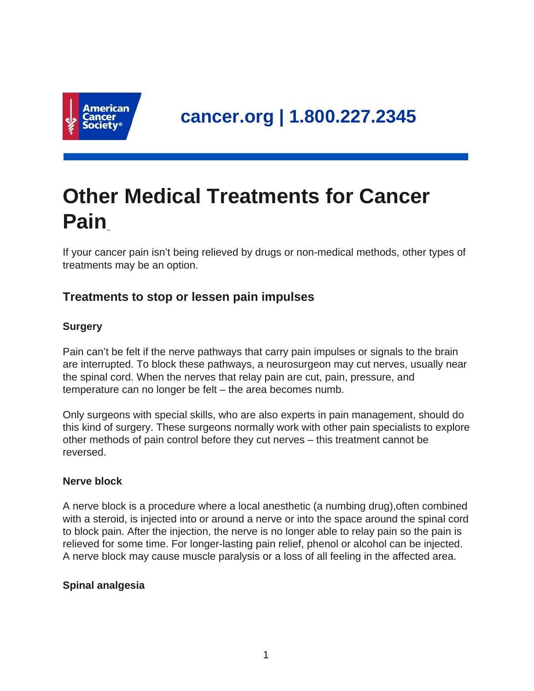

# **Other Medical Treatments for Cancer Pain**

If your cancer pain isn't being relieved by drugs or non-medical methods, other types of treatments may be an option.

## **Treatments to stop or lessen pain impulses**

## **Surgery**

Pain can't be felt if the nerve pathways that carry pain impulses or signals to the brain are interrupted. To block these pathways, a neurosurgeon may cut nerves, usually near the spinal cord. When the nerves that relay pain are cut, pain, pressure, and temperature can no longer be felt – the area becomes numb.

Only surgeons with special skills, who are also experts in pain management, should do this kind of surgery. These surgeons normally work with other pain specialists to explore other methods of pain control before they cut nerves – this treatment cannot be reversed.

#### **Nerve block**

A nerve block is a procedure where a local anesthetic (a numbing drug),often combined with a steroid, is injected into or around a nerve or into the space around the spinal cord to block pain. After the injection, the nerve is no longer able to relay pain so the pain is relieved for some time. For longer-lasting pain relief, phenol or alcohol can be injected. A nerve block may cause muscle paralysis or a loss of all feeling in the affected area.

## **Spinal analgesia**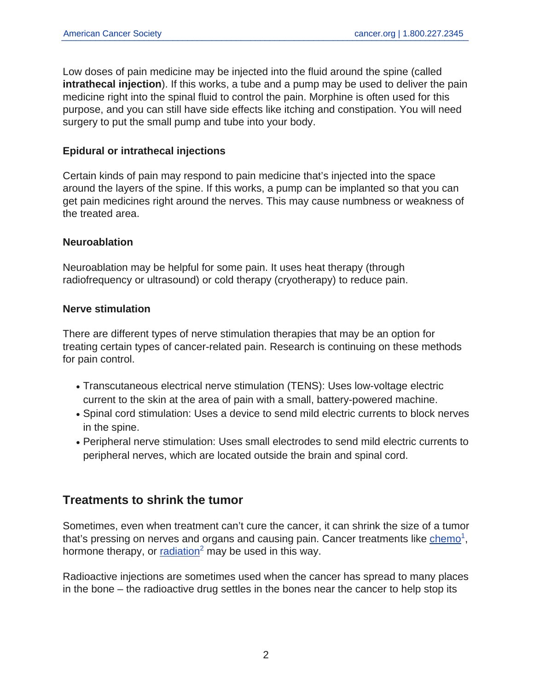Low doses of pain medicine may be injected into the fluid around the spine (called **intrathecal injection**). If this works, a tube and a pump may be used to deliver the pain medicine right into the spinal fluid to control the pain. Morphine is often used for this purpose, and you can still have side effects like itching and constipation. You will need surgery to put the small pump and tube into your body.

#### **Epidural or intrathecal injections**

Certain kinds of pain may respond to pain medicine that's injected into the space around the layers of the spine. If this works, a pump can be implanted so that you can get pain medicines right around the nerves. This may cause numbness or weakness of the treated area.

#### **Neuroablation**

Neuroablation may be helpful for some pain. It uses heat therapy (through radiofrequency or ultrasound) or cold therapy (cryotherapy) to reduce pain.

#### **Nerve stimulation**

There are different types of nerve stimulation therapies that may be an option for treating certain types of cancer-related pain. Research is continuing on these methods for pain control.

- Transcutaneous electrical nerve stimulation (TENS): Uses low-voltage electric current to the skin at the area of pain with a small, battery-powered machine.
- Spinal cord stimulation: Uses a device to send mild electric currents to block nerves in the spine.
- Peripheral nerve stimulation: Uses small electrodes to send mild electric currents to peripheral nerves, which are located outside the brain and spinal cord.

## **Treatments to shrink the tumor**

Sometimes, even when treatment can't cure the cancer, it can shrink the size of a tumor that's pressing on nerves and organs and causing pain. Cancer treatments like  $chemo<sup>1</sup>$  $chemo<sup>1</sup>$  $chemo<sup>1</sup>$ ,</u> hormone therapy, or  $r$  [radiation](https://www.cancer.org/content/cancer/en/treatment/treatments-and-side-effects/treatment-types/radiation.html)<sup>2</sup> may be used in this way.

Radioactive injections are sometimes used when the cancer has spread to many places in the bone – the radioactive drug settles in the bones near the cancer to help stop its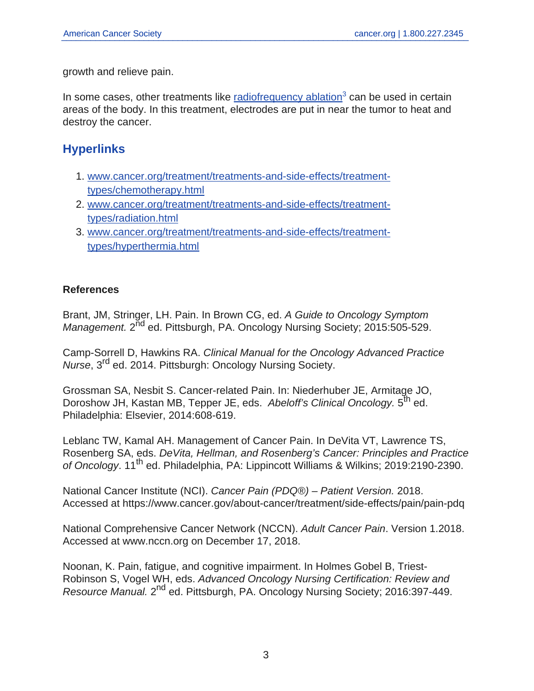growth and relieve pain.

In some cases, other treatments like [radiofrequency ablation](https://www.cancer.org/content/cancer/en/treatment/treatments-and-side-effects/treatment-types/hyperthermia.html)<sup>3</sup> can be used in certain areas of the body. In this treatment, electrodes are put in near the tumor to heat and destroy the cancer.

## **Hyperlinks**

- 1. [www.cancer.org/treatment/treatments-and-side-effects/treatment](https://www.cancer.org/treatment/treatments-and-side-effects/treatment-types/chemotherapy.html)[types/chemotherapy.html](https://www.cancer.org/treatment/treatments-and-side-effects/treatment-types/chemotherapy.html)
- 2. [www.cancer.org/treatment/treatments-and-side-effects/treatment](https://www.cancer.org/treatment/treatments-and-side-effects/treatment-types/radiation.html)[types/radiation.html](https://www.cancer.org/treatment/treatments-and-side-effects/treatment-types/radiation.html)
- 3. [www.cancer.org/treatment/treatments-and-side-effects/treatment](https://www.cancer.org/treatment/treatments-and-side-effects/treatment-types/hyperthermia.html)[types/hyperthermia.html](https://www.cancer.org/treatment/treatments-and-side-effects/treatment-types/hyperthermia.html)

#### **References**

Brant, JM, Stringer, LH. Pain. In Brown CG, ed. A Guide to Oncology Symptom Management. 2<sup>nd</sup> ed. Pittsburgh, PA. Oncology Nursing Society; 2015:505-529.

Camp-Sorrell D, Hawkins RA. Clinical Manual for the Oncology Advanced Practice Nurse, 3rd ed. 2014. Pittsburgh: Oncology Nursing Society.

Grossman SA, Nesbit S. Cancer-related Pain. In: Niederhuber JE, Armitage JO, Doroshow JH, Kastan MB, Tepper JE, eds. *Abeloff's Clinical Oncology.* 5<sup>th</sup> ed. <sup>1</sup> Philadelphia: Elsevier, 2014:608-619.

Leblanc TW, Kamal AH. Management of Cancer Pain. In DeVita VT, Lawrence TS, Rosenberg SA, eds. DeVita, Hellman, and Rosenberg's Cancer: Principles and Practice of Oncology. 11<sup>th</sup> ed. Philadelphia, PA: Lippincott Williams & Wilkins; 2019:2190-2390.

National Cancer Institute (NCI). Cancer Pain (PDQ®) – Patient Version. 2018. Accessed at https://www.cancer.gov/about-cancer/treatment/side-effects/pain/pain-pdq

National Comprehensive Cancer Network (NCCN). Adult Cancer Pain. Version 1.2018. Accessed at www.nccn.org on December 17, 2018.

Noonan, K. Pain, fatigue, and cognitive impairment. In Holmes Gobel B, Triest-Robinson S, Vogel WH, eds. Advanced Oncology Nursing Certification: Review and Resource Manual. 2<sup>nd</sup> ed. Pittsburgh, PA. Oncology Nursing Society; 2016:397-449.